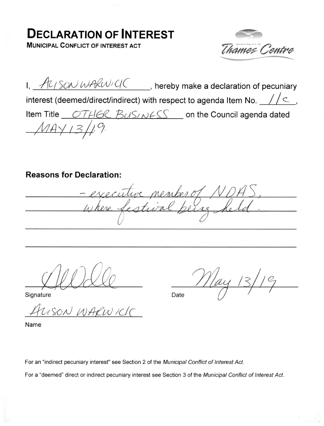## DECLARATION OF INTEREST

MUNICIPAL CONFLICT OF INTEREST ACT



I,  $\frac{A}{\sqrt{2}}$   $\frac{1}{2}$   $\frac{1}{2}$   $\frac{1}{2}$   $\frac{1}{2}$   $\frac{1}{2}$   $\frac{1}{2}$  hereby make a declaration of pecuniary interest (deemed/direct/indirect) with respect to agenda Item No.  $\frac{1}{2}$  /  $\leq$ Item Title <u>OTHER BUSINESS</u> on the Council agenda dated  $14 \sqrt{13}$ 

Reasons for Declaration:

rember of NDH recutive member 01/1/2H),

Signature Date 0

USON WARWICK

Name

For an "indirect pecuniary interest" see Section 2 of the Municipal Conflict of Interest Act.

For a "deemed" direct or indirect pecuniary interest see Section 3 of the Municipal Conflict of Interest Act.